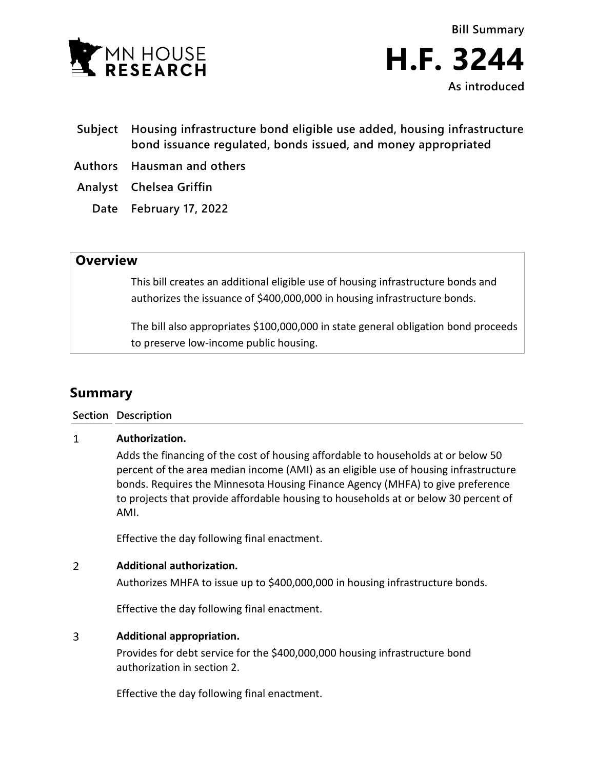

- **Subject Housing infrastructure bond eligible use added, housing infrastructure bond issuance regulated, bonds issued, and money appropriated**
- **Authors Hausman and others**
- **Analyst Chelsea Griffin**
	- **Date February 17, 2022**

## **Overview**

This bill creates an additional eligible use of housing infrastructure bonds and authorizes the issuance of \$400,000,000 in housing infrastructure bonds.

The bill also appropriates \$100,000,000 in state general obligation bond proceeds to preserve low-income public housing.

# **Summary**

### **Section Description**

#### $\mathbf{1}$ **Authorization.**

Adds the financing of the cost of housing affordable to households at or below 50 percent of the area median income (AMI) as an eligible use of housing infrastructure bonds. Requires the Minnesota Housing Finance Agency (MHFA) to give preference to projects that provide affordable housing to households at or below 30 percent of AMI.

Effective the day following final enactment.

#### $\overline{2}$ **Additional authorization.**

Authorizes MHFA to issue up to \$400,000,000 in housing infrastructure bonds.

Effective the day following final enactment.

#### $\overline{3}$ **Additional appropriation.**

Provides for debt service for the \$400,000,000 housing infrastructure bond authorization in section 2.

Effective the day following final enactment.